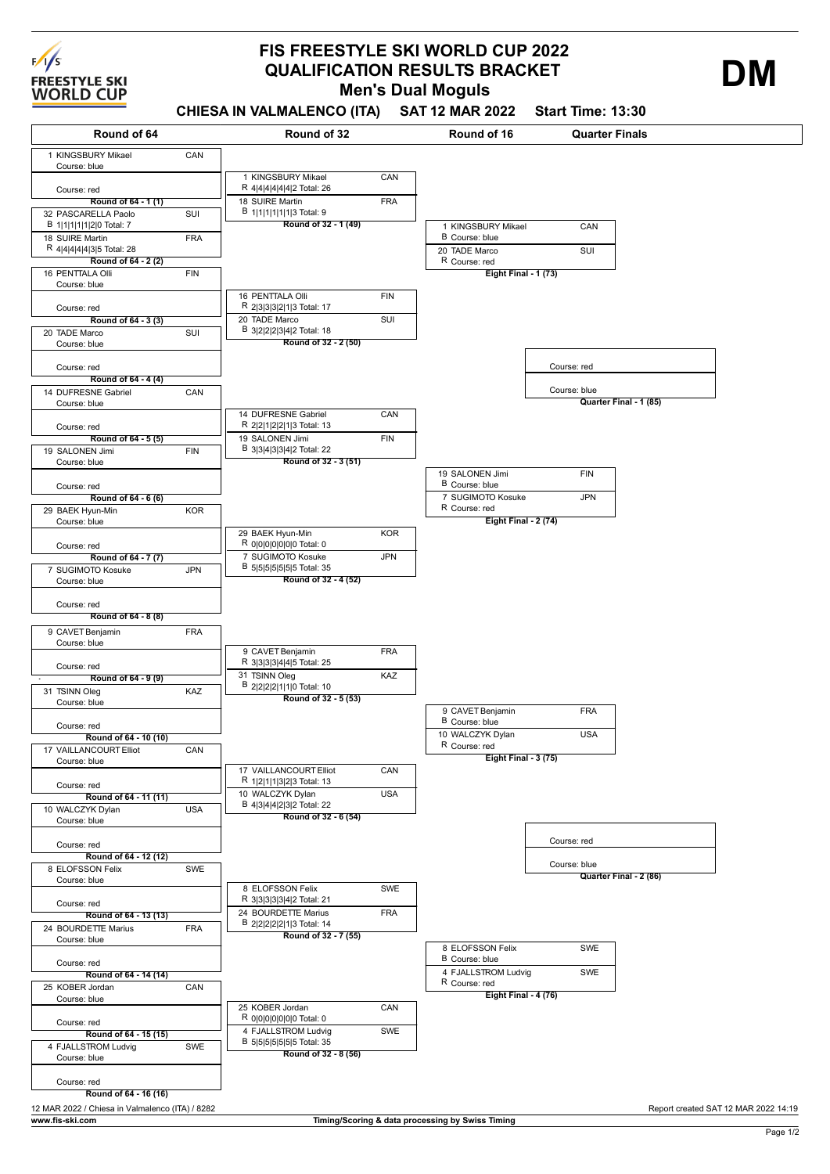

## **Men's Dual Moguls FIS FREESTYLE SKI WORLD CUP 2022 QUALIFICATION RESULTS BRACKET**

**CHIESA IN VALMALENCO (ITA) SAT 12 MAR 2022 Start Time: 13:30**

B Course: blue **Round of 32 - 1 (49)** 1 KINGSBURY Mikael R 4|4|4|4|4|4|2 Total: 26 **CAN** 18 SUIRE Martin B 1|1|1|1|1|1|3 Total: 9 FRA **Round of 32 - 2 (50)** 16 PENTTALA Olli R 2|3|3|3|2|1|3 Total: 17 **FIN** 20 TADE Marco B 3|2|2|2|3|4|2 Total: 18  $\overline{\text{S}}$ **Round of 32 - 3 (51)** 14 DUFRESNE Gabriel R 2|2|1|2|2|1|3 Total: 13 **CAN** 19 SALONEN Jimi B 3|3|4|3|3|4|2 Total: 22 FIN **Round of 32 - 4 (52)** 29 BAEK Hyun-Min R 0|0|0|0|0|0|0 Total: 0 **KOR** 7 SUGIMOTO Kosuke B 5|5|5|5|5|5|5 Total: 35 JPN **Round of 32 - 5 (53)** 9 CAVET Benjamin R 3|3|3|3|4|4|5 Total: 25 FRA 31 TSINN Oleg B 2|2|2|2|1|1|0 Total: 10 KA<sub>7</sub> **Round of 32 - 6 (54)** 17 VAILLANCOURT Elliot R 1|2|1|1|3|2|3 Total: 13 **CAN** 10 WALCZYK Dylan B 4|3|4|4|2|3|2 Total: 22 USA **Round of 32 - 7 (55)** 8 ELOFSSON Felix R 3|3|3|3|3|4|2 Total: 21 **SW<sub>E</sub>** 24 BOURDETTE Marius B 2|2|2|2|2|1|3 Total: 14 FRA **Round of 32 - 8 (56)** 25 KOBER Jordan R 0|0|0|0|0|0|0 Total: 0 **CAN** 4 FJALLSTROM Ludvig B 5|5|5|5|5|5|5 Total: 35 SWE **Eight Final - 1 (73)** 1 KINGSBURY Mikael B Course: blue **CAN** 20 TADE Marco R Course: red SUI **Eight Final - 2 (74)** 19 SALONEN Jimi B Course: blue FIN 7 SUGIMOTO Kosuke R Course: red JPN **Eight Final - 3 (75)** 9 CAVET Benjamin FRA 10 WALCZYK Dylan R Course: red USA **Eight Final - 4 (76)** 8 ELOFSSON Felix B Course: blue SWE 4 FJALLSTROM Ludvig R Course: red **SWE** Course: red **Quarter Final - 1 (85)** Course: blue Course: red **Quarter Final - 2 (86)** Course: blue **Round of 64 - 9 (9)** Course: red **Round of 64 - 10 (10)** 31 TSINN Oleg KAZ Course: blue Course: red **Round of 64 - 11 (11)** 17 VAILLANCOURT Elliot CAN Course: blue Course: red **Round of 64 - 12 (12)** 10 WALCZYK Dylan USA Course: blue Course: red **Round of 64 - 13 (13)** 8 ELOFSSON Felix SWE Course: blue Course: red **Round of 64 - 14 (14)** 24 BOURDETTE Marius FRA Course: blue Course: red **Round of 64 - 15 (15)** 25 KOBER Jordan CAN Course: blue Course: red **Round of 64 - 16 (16)** 4 FJALLSTROM Ludvig SWE Course: blue Course: red 9 CAVET Benjamin FRA Course: blue **Round of 64 - 1 (1)** 1 KINGSBURY Mikael CAN Course: blue Course: red **Round of 64 - 2 (2)** 32 PASCARELLA Paolo B 1|1|1|1|1|2|0 Total: 7  $\overline{\text{SUE}}$ 18 SUIRE Martin R 4|4|4|4|4|3|5 Total: 28 FRA **Round of 64 - 3 (3)** 16 PENTTALA Olli FIN Course: blue Course: red **Round of 64 - 4 (4)** 20 TADE Marco SUI Course: blue Course: red **Round of 64 - 5 (5)** 14 DUFRESNE Gabriel CAN Course: blue Course: red **Round of 64 - 6 (6)** 19 SALONEN Jimi FIN Course: blue Course: red **Round of 64 - 7 (7)** 29 BAEK Hyun-Min KOR Course: blue Course: red 7 SUGIMOTO Kosuke JPN Course: blue Course: red **Round of 64 - 8 (8) Round of 64 Round of 32 Round of 16 Quarter Finals** 12 MAR 2022 / Chiesa in Valmalenco (ITA) / 8282 Report created SAT 12 MAR 2022 14:19 **www.fis-ski.com Timing/Scoring & data processing by Swiss Timing**